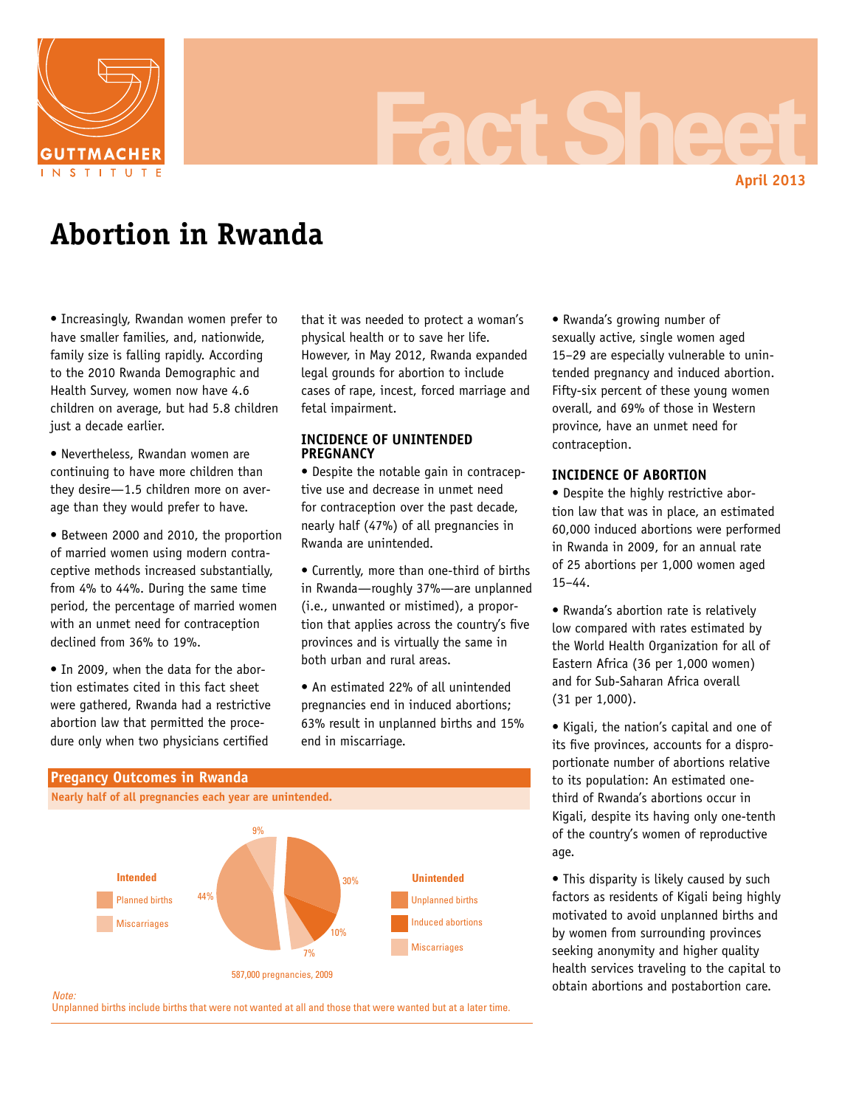

# **Fact Sheet**

**April 2013**

# **Abortion in Rwanda**

• Increasingly, Rwandan women prefer to have smaller families, and, nationwide, family size is falling rapidly. According to the 2010 Rwanda Demographic and Health Survey, women now have 4.6 children on average, but had 5.8 children just a decade earlier.

• Nevertheless, Rwandan women are continuing to have more children than they desire—1.5 children more on average than they would prefer to have.

• Between 2000 and 2010, the proportion of married women using modern contraceptive methods increased substantially, from 4% to 44%. During the same time period, the percentage of married women with an unmet need for contraception declined from 36% to 19%.

• In 2009, when the data for the abortion estimates cited in this fact sheet were gathered, Rwanda had a restrictive abortion law that permitted the procedure only when two physicians certified

that it was needed to protect a woman's physical health or to save her life. However, in May 2012, Rwanda expanded legal grounds for abortion to include cases of rape, incest, forced marriage and fetal impairment.

# **INCIDENCE OF UNINTENDED PREGNANCY**

• Despite the notable gain in contraceptive use and decrease in unmet need for contraception over the past decade, nearly half (47%) of all pregnancies in Rwanda are unintended.

• Currently, more than one-third of births in Rwanda—roughly 37%—are unplanned (i.e., unwanted or mistimed), a proportion that applies across the country's five provinces and is virtually the same in both urban and rural areas.

• An estimated 22% of all unintended pregnancies end in induced abortions; 63% result in unplanned births and 15% end in miscarriage.



• Rwanda's growing number of sexually active, single women aged 15–29 are especially vulnerable to unintended pregnancy and induced abortion. Fifty-six percent of these young women overall, and 69% of those in Western province, have an unmet need for contraception.

# **INCIDENCE OF ABORTION**

• Despite the highly restrictive abortion law that was in place, an estimated 60,000 induced abortions were performed in Rwanda in 2009, for an annual rate of 25 abortions per 1,000 women aged 15–44.

• Rwanda's abortion rate is relatively low compared with rates estimated by the World Health Organization for all of Eastern Africa (36 per 1,000 women) and for Sub-Saharan Africa overall (31 per 1,000).

• Kigali, the nation's capital and one of its five provinces, accounts for a disproportionate number of abortions relative to its population: An estimated onethird of Rwanda's abortions occur in Kigali, despite its having only one-tenth of the country's women of reproductive age.

• This disparity is likely caused by such factors as residents of Kigali being highly motivated to avoid unplanned births and by women from surrounding provinces seeking anonymity and higher quality health services traveling to the capital to obtain abortions and postabortion care.

#### *Note:*

Unplanned births include births that were not wanted at all and those that were wanted but at a later time.